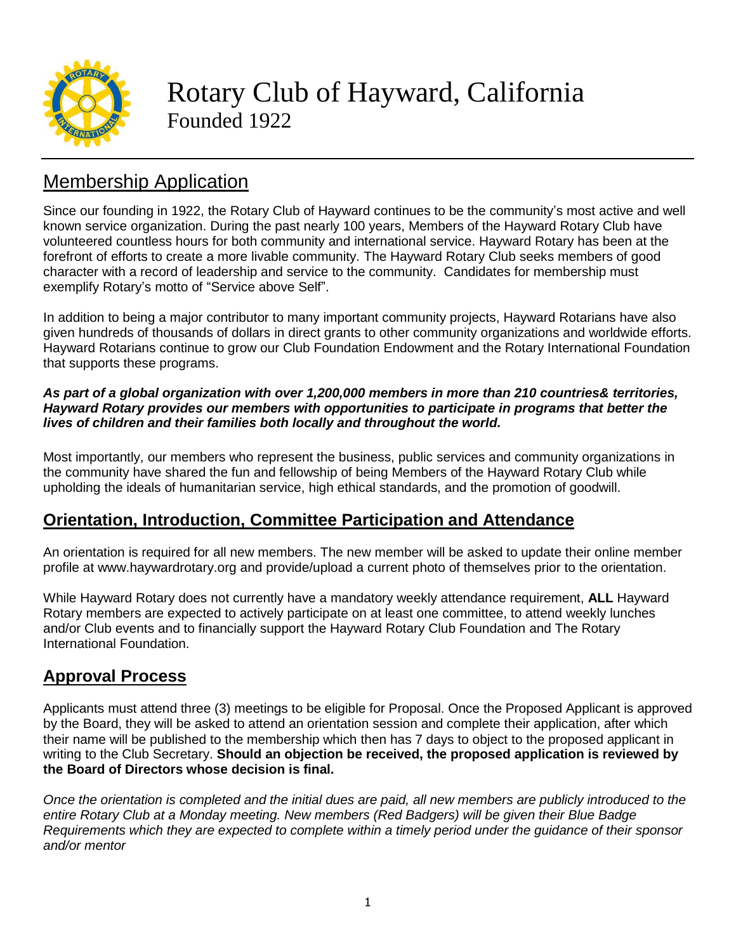

Rotary Club of Hayward, California Founded 1922

# Membership Application

Since our founding in 1922, the Rotary Club of Hayward continues to be the community's most active and well known service organization. During the past nearly 100 years, Members of the Hayward Rotary Club have volunteered countless hours for both community and international service. Hayward Rotary has been at the forefront of efforts to create a more livable community. The Hayward Rotary Club seeks members of good character with a record of leadership and service to the community. Candidates for membership must exemplify Rotary's motto of "Service above Self".

In addition to being a major contributor to many important community projects, Hayward Rotarians have also given hundreds of thousands of dollars in direct grants to other community organizations and worldwide efforts. Hayward Rotarians continue to grow our Club Foundation Endowment and the Rotary International Foundation that supports these programs.

#### *As part of a global organization with over 1,200,000 members in more than 210 countries& territories, Hayward Rotary provides our members with opportunities to participate in programs that better the lives of children and their families both locally and throughout the world.*

Most importantly, our members who represent the business, public services and community organizations in the community have shared the fun and fellowship of being Members of the Hayward Rotary Club while upholding the ideals of humanitarian service, high ethical standards, and the promotion of goodwill.

## **Orientation, Introduction, Committee Participation and Attendance**

An orientation is required for all new members. The new member will be asked to update their online member profile at www.haywardrotary.org and provide/upload a current photo of themselves prior to the orientation.

While Hayward Rotary does not currently have a mandatory weekly attendance requirement, **ALL** Hayward Rotary members are expected to actively participate on at least one committee, to attend weekly lunches and/or Club events and to financially support the Hayward Rotary Club Foundation and The Rotary International Foundation.

## **Approval Process**

Applicants must attend three (3) meetings to be eligible for Proposal. Once the Proposed Applicant is approved by the Board, they will be asked to attend an orientation session and complete their application, after which their name will be published to the membership which then has 7 days to object to the proposed applicant in writing to the Club Secretary. **Should an objection be received, the proposed application is reviewed by the Board of Directors whose decision is final.**

Once the orientation is completed and the initial dues are paid, all new members are publicly introduced to the *entire Rotary Club at a Monday meeting. New members (Red Badgers) will be given their Blue Badge* Requirements which they are expected to complete within a timely period under the quidance of their sponsor *and/or mentor*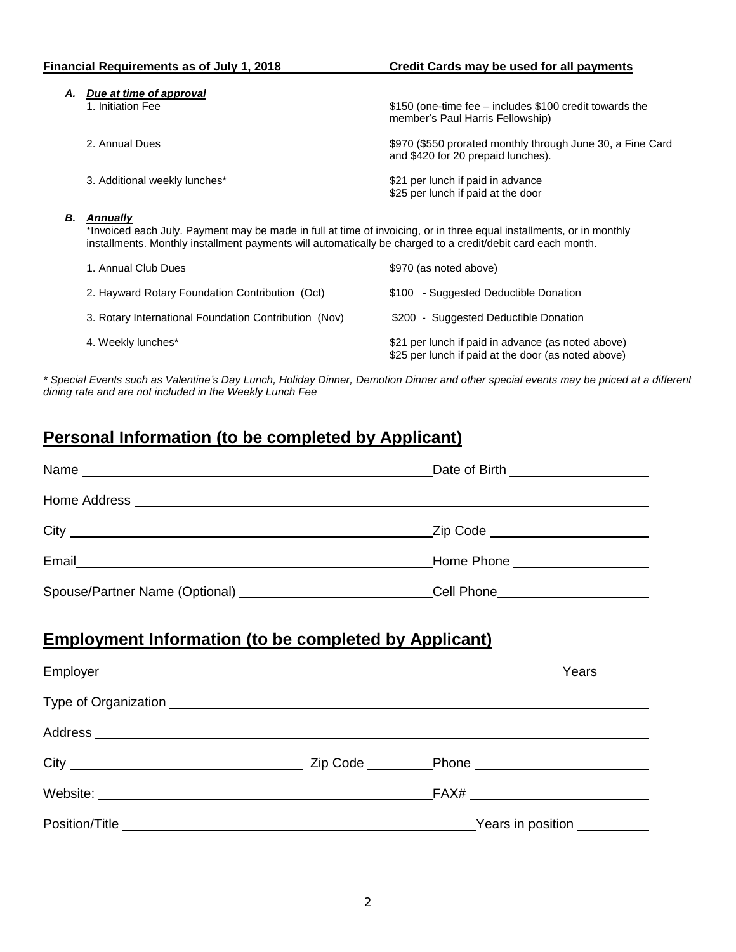| <b>Financial Requirements as of July 1, 2018</b> |                                                                                                                                                                                                                                                        | Credit Cards may be used for all payments                                                        |  |
|--------------------------------------------------|--------------------------------------------------------------------------------------------------------------------------------------------------------------------------------------------------------------------------------------------------------|--------------------------------------------------------------------------------------------------|--|
| А.                                               | Due at time of approval<br>1. Initiation Fee                                                                                                                                                                                                           | \$150 (one-time fee – includes \$100 credit towards the<br>member's Paul Harris Fellowship)      |  |
|                                                  | 2. Annual Dues                                                                                                                                                                                                                                         | \$970 (\$550 prorated monthly through June 30, a Fine Card<br>and \$420 for 20 prepaid lunches). |  |
|                                                  | 3. Additional weekly lunches*                                                                                                                                                                                                                          | \$21 per lunch if paid in advance<br>\$25 per lunch if paid at the door                          |  |
| В.                                               | <b>Annually</b><br>*Invoiced each July. Payment may be made in full at time of invoicing, or in three equal installments, or in monthly<br>installments. Monthly installment payments will automatically be charged to a credit/debit card each month. |                                                                                                  |  |
|                                                  | 1. Annual Club Dues                                                                                                                                                                                                                                    | \$970 (as noted above)                                                                           |  |
|                                                  | 2. Hayward Rotary Foundation Contribution (Oct)                                                                                                                                                                                                        | \$100 - Suggested Deductible Donation                                                            |  |
|                                                  | 3. Rotary International Foundation Contribution (Nov)                                                                                                                                                                                                  | \$200 - Suggested Deductible Donation                                                            |  |
|                                                  | 4. Weekly lunches*                                                                                                                                                                                                                                     | \$21 per lunch if paid in advance (as noted above)                                               |  |

\* Special Events such as Valentine's Day Lunch, Holiday Dinner, Demotion Dinner and other special events may be priced at a different *dining rate and are not included in the Weekly Lunch Fee*

\$25 per lunch if paid at the door (as noted above)

## **Personal Information (to be completed by Applicant)**

|                                                                                                                                                                                                                                |                                                        |  | Date of Birth ______________________ |
|--------------------------------------------------------------------------------------------------------------------------------------------------------------------------------------------------------------------------------|--------------------------------------------------------|--|--------------------------------------|
|                                                                                                                                                                                                                                |                                                        |  |                                      |
|                                                                                                                                                                                                                                |                                                        |  |                                      |
|                                                                                                                                                                                                                                |                                                        |  |                                      |
| Spouse/Partner Name (Optional) ___________________________Cell Phone_____________                                                                                                                                              |                                                        |  |                                      |
| <b>Employment Information (to be completed by Applicant)</b>                                                                                                                                                                   |                                                        |  |                                      |
|                                                                                                                                                                                                                                |                                                        |  |                                      |
|                                                                                                                                                                                                                                |                                                        |  |                                      |
|                                                                                                                                                                                                                                |                                                        |  |                                      |
| Website: News Area and the Contract of the Contract of the Contract of the Contract of the Contract of the Contract of the Contract of the Contract of the Contract of the Contract of the Contract of the Contract of the Con |                                                        |  |                                      |
| Position/Title <b>Example 2014</b>                                                                                                                                                                                             | <u>Nears</u> in position <b>was a matter of the ST</b> |  |                                      |